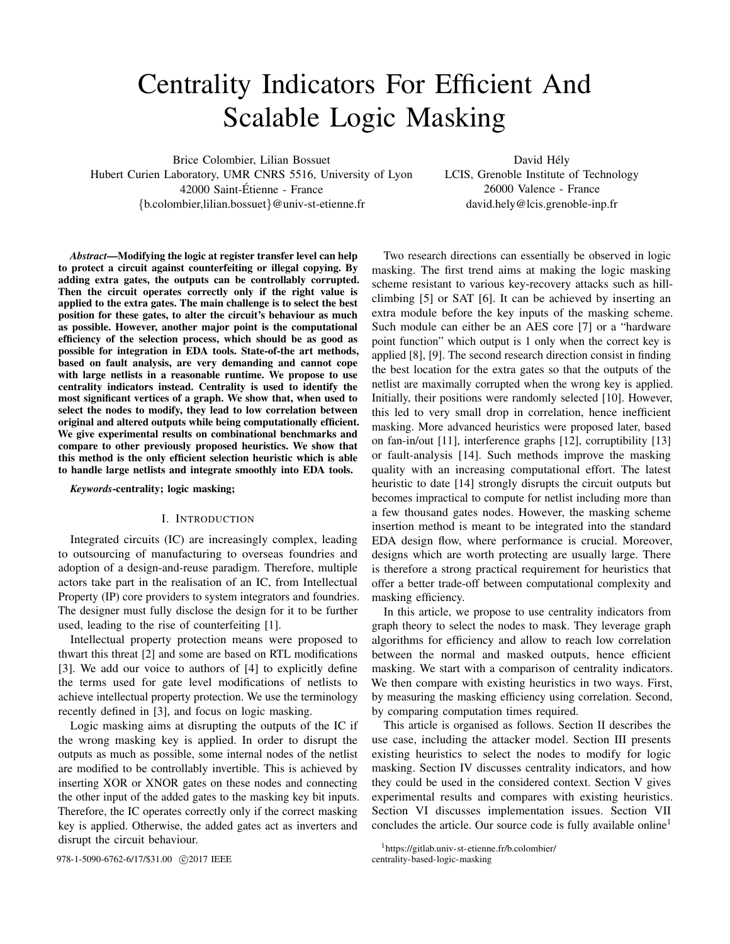# Centrality Indicators For Efficient And Scalable Logic Masking

Brice Colombier, Lilian Bossuet

Hubert Curien Laboratory, UMR CNRS 5516, University of Lyon 42000 Saint-Etienne - France ´ {b.colombier,lilian.bossuet}@univ-st-etienne.fr

David Hély LCIS, Grenoble Institute of Technology 26000 Valence - France david.hely@lcis.grenoble-inp.fr

*Abstract*—Modifying the logic at register transfer level can help to protect a circuit against counterfeiting or illegal copying. By adding extra gates, the outputs can be controllably corrupted. Then the circuit operates correctly only if the right value is applied to the extra gates. The main challenge is to select the best position for these gates, to alter the circuit's behaviour as much as possible. However, another major point is the computational efficiency of the selection process, which should be as good as possible for integration in EDA tools. State-of-the art methods, based on fault analysis, are very demanding and cannot cope with large netlists in a reasonable runtime. We propose to use centrality indicators instead. Centrality is used to identify the most significant vertices of a graph. We show that, when used to select the nodes to modify, they lead to low correlation between original and altered outputs while being computationally efficient. We give experimental results on combinational benchmarks and compare to other previously proposed heuristics. We show that this method is the only efficient selection heuristic which is able to handle large netlists and integrate smoothly into EDA tools.

*Keywords*-centrality; logic masking;

#### I. INTRODUCTION

Integrated circuits (IC) are increasingly complex, leading to outsourcing of manufacturing to overseas foundries and adoption of a design-and-reuse paradigm. Therefore, multiple actors take part in the realisation of an IC, from Intellectual Property (IP) core providers to system integrators and foundries. The designer must fully disclose the design for it to be further used, leading to the rise of counterfeiting [\[1\]](#page-5-0).

Intellectual property protection means were proposed to thwart this threat [\[2\]](#page-5-1) and some are based on RTL modifications [\[3\]](#page-5-2). We add our voice to authors of [\[4\]](#page-5-3) to explicitly define the terms used for gate level modifications of netlists to achieve intellectual property protection. We use the terminology recently defined in [\[3\]](#page-5-2), and focus on logic masking.

Logic masking aims at disrupting the outputs of the IC if the wrong masking key is applied. In order to disrupt the outputs as much as possible, some internal nodes of the netlist are modified to be controllably invertible. This is achieved by inserting XOR or XNOR gates on these nodes and connecting the other input of the added gates to the masking key bit inputs. Therefore, the IC operates correctly only if the correct masking key is applied. Otherwise, the added gates act as inverters and disrupt the circuit behaviour.

978-1-5090-6762-6/17/\$31.00 c 2017 IEEE [centrality-based-logic-masking](https://gitlab.univ-st-etienne.fr/b.colombier/centrality-based-logic-masking)

Two research directions can essentially be observed in logic masking. The first trend aims at making the logic masking scheme resistant to various key-recovery attacks such as hillclimbing [\[5\]](#page-5-4) or SAT [\[6\]](#page-5-5). It can be achieved by inserting an extra module before the key inputs of the masking scheme. Such module can either be an AES core [\[7\]](#page-5-6) or a "hardware point function" which output is 1 only when the correct key is applied [\[8\]](#page-5-7), [\[9\]](#page-5-8). The second research direction consist in finding the best location for the extra gates so that the outputs of the netlist are maximally corrupted when the wrong key is applied. Initially, their positions were randomly selected [\[10\]](#page-5-9). However, this led to very small drop in correlation, hence inefficient masking. More advanced heuristics were proposed later, based on fan-in/out [\[11\]](#page-5-10), interference graphs [\[12\]](#page-5-11), corruptibility [\[13\]](#page-5-12) or fault-analysis [\[14\]](#page-5-13). Such methods improve the masking quality with an increasing computational effort. The latest heuristic to date [\[14\]](#page-5-13) strongly disrupts the circuit outputs but becomes impractical to compute for netlist including more than a few thousand gates nodes. However, the masking scheme insertion method is meant to be integrated into the standard EDA design flow, where performance is crucial. Moreover, designs which are worth protecting are usually large. There is therefore a strong practical requirement for heuristics that offer a better trade-off between computational complexity and masking efficiency.

In this article, we propose to use centrality indicators from graph theory to select the nodes to mask. They leverage graph algorithms for efficiency and allow to reach low correlation between the normal and masked outputs, hence efficient masking. We start with a comparison of centrality indicators. We then compare with existing heuristics in two ways. First, by measuring the masking efficiency using correlation. Second, by comparing computation times required.

This article is organised as follows. Section [II](#page-1-0) describes the use case, including the attacker model. Section [III](#page-1-1) presents existing heuristics to select the nodes to modify for logic masking. Section [IV](#page-2-0) discusses centrality indicators, and how they could be used in the considered context. Section [V](#page-3-0) gives experimental results and compares with existing heuristics. Section [VI](#page-4-0) discusses implementation issues. Section [VII](#page-5-14) concludes the article. Our source code is fully available online<sup>[1](#page-0-0)</sup>

<span id="page-0-0"></span><sup>&</sup>lt;sup>1</sup>[https://gitlab.univ-st-etienne.fr/b.colombier/](https://gitlab.univ-st-etienne.fr/b.colombier/centrality-based-logic-masking)<br>centrality-based-logic-masking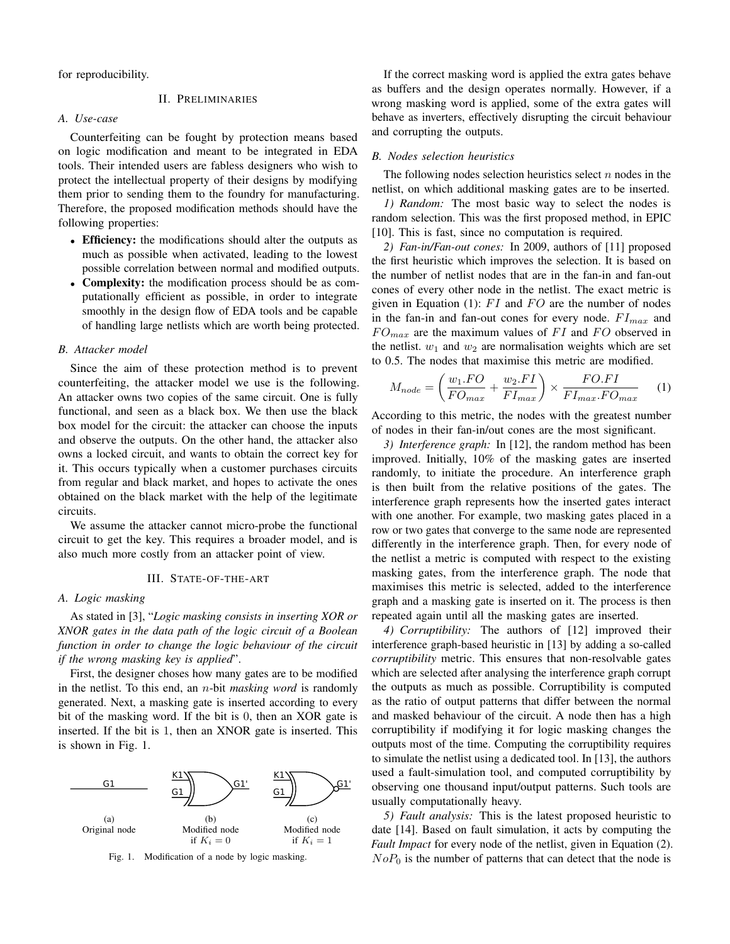<span id="page-1-0"></span>for reproducibility.

# II. PRELIMINARIES

## *A. Use-case*

Counterfeiting can be fought by protection means based on logic modification and meant to be integrated in EDA tools. Their intended users are fabless designers who wish to protect the intellectual property of their designs by modifying them prior to sending them to the foundry for manufacturing. Therefore, the proposed modification methods should have the following properties:

- Efficiency: the modifications should alter the outputs as much as possible when activated, leading to the lowest possible correlation between normal and modified outputs.
- Complexity: the modification process should be as computationally efficient as possible, in order to integrate smoothly in the design flow of EDA tools and be capable of handling large netlists which are worth being protected.

#### *B. Attacker model*

Since the aim of these protection method is to prevent counterfeiting, the attacker model we use is the following. An attacker owns two copies of the same circuit. One is fully functional, and seen as a black box. We then use the black box model for the circuit: the attacker can choose the inputs and observe the outputs. On the other hand, the attacker also owns a locked circuit, and wants to obtain the correct key for it. This occurs typically when a customer purchases circuits from regular and black market, and hopes to activate the ones obtained on the black market with the help of the legitimate circuits.

We assume the attacker cannot micro-probe the functional circuit to get the key. This requires a broader model, and is also much more costly from an attacker point of view.

#### III. STATE-OF-THE-ART

# <span id="page-1-1"></span>*A. Logic masking*

As stated in [\[3\]](#page-5-2), "*Logic masking consists in inserting XOR or XNOR gates in the data path of the logic circuit of a Boolean function in order to change the logic behaviour of the circuit if the wrong masking key is applied*".

First, the designer choses how many gates are to be modified in the netlist. To this end, an n-bit *masking word* is randomly generated. Next, a masking gate is inserted according to every bit of the masking word. If the bit is 0, then an XOR gate is inserted. If the bit is 1, then an XNOR gate is inserted. This is shown in Fig. [1.](#page-1-2)



<span id="page-1-2"></span>

If the correct masking word is applied the extra gates behave as buffers and the design operates normally. However, if a wrong masking word is applied, some of the extra gates will behave as inverters, effectively disrupting the circuit behaviour and corrupting the outputs.

#### *B. Nodes selection heuristics*

The following nodes selection heuristics select  $n$  nodes in the netlist, on which additional masking gates are to be inserted.

*1) Random:* The most basic way to select the nodes is random selection. This was the first proposed method, in EPIC [\[10\]](#page-5-9). This is fast, since no computation is required.

*2) Fan-in/Fan-out cones:* In 2009, authors of [\[11\]](#page-5-10) proposed the first heuristic which improves the selection. It is based on the number of netlist nodes that are in the fan-in and fan-out cones of every other node in the netlist. The exact metric is given in Equation [\(1\)](#page-1-3):  $FI$  and  $FO$  are the number of nodes in the fan-in and fan-out cones for every node.  $FI_{max}$  and  $FO_{max}$  are the maximum values of FI and FO observed in the netlist.  $w_1$  and  $w_2$  are normalisation weights which are set to 0.5. The nodes that maximise this metric are modified.

<span id="page-1-3"></span>
$$
M_{node} = \left(\frac{w_1.FO}{FO_{max}} + \frac{w_2.FI}{FI_{max}}\right) \times \frac{FO.FI}{FI_{max.F}O_{max}} \tag{1}
$$

According to this metric, the nodes with the greatest number of nodes in their fan-in/out cones are the most significant.

*3) Interference graph:* In [\[12\]](#page-5-11), the random method has been improved. Initially, 10% of the masking gates are inserted randomly, to initiate the procedure. An interference graph is then built from the relative positions of the gates. The interference graph represents how the inserted gates interact with one another. For example, two masking gates placed in a row or two gates that converge to the same node are represented differently in the interference graph. Then, for every node of the netlist a metric is computed with respect to the existing masking gates, from the interference graph. The node that maximises this metric is selected, added to the interference graph and a masking gate is inserted on it. The process is then repeated again until all the masking gates are inserted.

*4) Corruptibility:* The authors of [\[12\]](#page-5-11) improved their interference graph-based heuristic in [\[13\]](#page-5-12) by adding a so-called *corruptibility* metric. This ensures that non-resolvable gates which are selected after analysing the interference graph corrupt the outputs as much as possible. Corruptibility is computed as the ratio of output patterns that differ between the normal and masked behaviour of the circuit. A node then has a high corruptibility if modifying it for logic masking changes the outputs most of the time. Computing the corruptibility requires to simulate the netlist using a dedicated tool. In [\[13\]](#page-5-12), the authors used a fault-simulation tool, and computed corruptibility by observing one thousand input/output patterns. Such tools are usually computationally heavy.

*5) Fault analysis:* This is the latest proposed heuristic to date [\[14\]](#page-5-13). Based on fault simulation, it acts by computing the *Fault Impact* for every node of the netlist, given in Equation [\(2\)](#page-2-1).  $NoP<sub>0</sub>$  is the number of patterns that can detect that the node is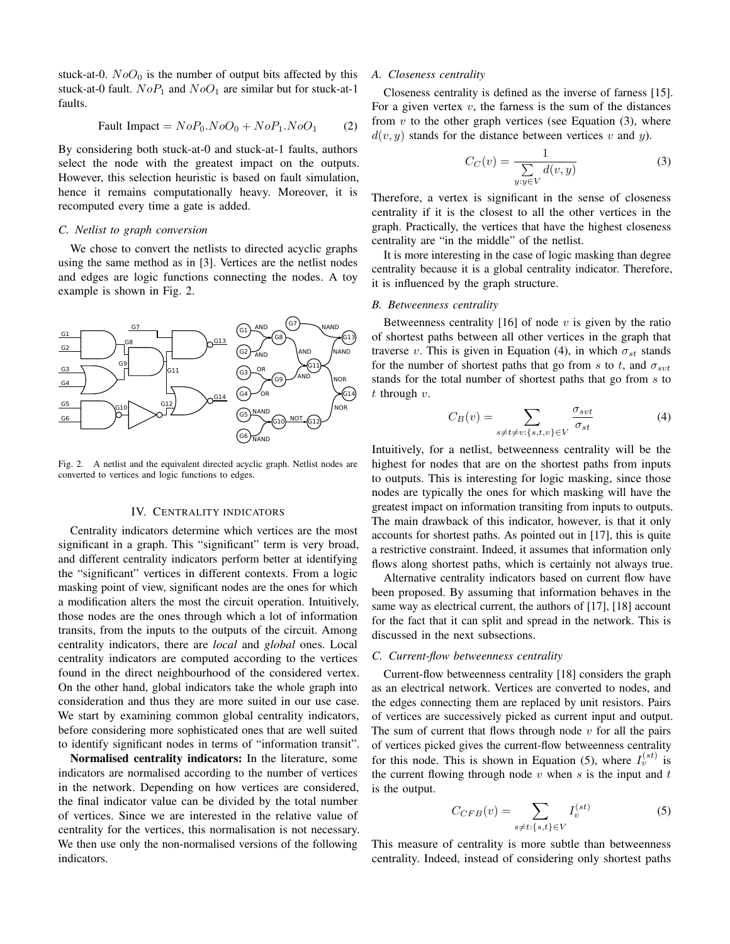stuck-at-0.  $NoO<sub>0</sub>$  is the number of output bits affected by this stuck-at-0 fault.  $NoP_1$  and  $NoO_1$  are similar but for stuck-at-1 faults.

<span id="page-2-1"></span>
$$
Pault Impact = NoP_0.NoO_0 + NoP_1.NoO_1 \qquad (2)
$$

By considering both stuck-at-0 and stuck-at-1 faults, authors select the node with the greatest impact on the outputs. However, this selection heuristic is based on fault simulation, hence it remains computationally heavy. Moreover, it is recomputed every time a gate is added.

# <span id="page-2-6"></span>*C. Netlist to graph conversion*

We chose to convert the netlists to directed acyclic graphs using the same method as in [\[3\]](#page-5-2). Vertices are the netlist nodes and edges are logic functions connecting the nodes. A toy example is shown in Fig. [2.](#page-2-2)



<span id="page-2-2"></span>Fig. 2. A netlist and the equivalent directed acyclic graph. Netlist nodes are converted to vertices and logic functions to edges.

#### IV. CENTRALITY INDICATORS

<span id="page-2-0"></span>Centrality indicators determine which vertices are the most significant in a graph. This "significant" term is very broad, and different centrality indicators perform better at identifying the "significant" vertices in different contexts. From a logic masking point of view, significant nodes are the ones for which a modification alters the most the circuit operation. Intuitively, those nodes are the ones through which a lot of information transits, from the inputs to the outputs of the circuit. Among centrality indicators, there are *local* and *global* ones. Local centrality indicators are computed according to the vertices found in the direct neighbourhood of the considered vertex. On the other hand, global indicators take the whole graph into consideration and thus they are more suited in our use case. We start by examining common global centrality indicators, before considering more sophisticated ones that are well suited to identify significant nodes in terms of "information transit".

Normalised centrality indicators: In the literature, some indicators are normalised according to the number of vertices in the network. Depending on how vertices are considered, the final indicator value can be divided by the total number of vertices. Since we are interested in the relative value of centrality for the vertices, this normalisation is not necessary. We then use only the non-normalised versions of the following indicators.

## *A. Closeness centrality*

Closeness centrality is defined as the inverse of farness [\[15\]](#page-5-15). For a given vertex  $v$ , the farness is the sum of the distances from  $v$  to the other graph vertices (see Equation  $(3)$ , where  $d(v, y)$  stands for the distance between vertices v and y).

<span id="page-2-3"></span>
$$
C_C(v) = \frac{1}{\sum_{y:y \in V} d(v,y)}\tag{3}
$$

Therefore, a vertex is significant in the sense of closeness centrality if it is the closest to all the other vertices in the graph. Practically, the vertices that have the highest closeness centrality are "in the middle" of the netlist.

It is more interesting in the case of logic masking than degree centrality because it is a global centrality indicator. Therefore, it is influenced by the graph structure.

#### *B. Betweenness centrality*

Betweenness centrality [\[16\]](#page-5-16) of node  $v$  is given by the ratio of shortest paths between all other vertices in the graph that traverse v. This is given in Equation [\(4\)](#page-2-4), in which  $\sigma_{st}$  stands for the number of shortest paths that go from s to t, and  $\sigma_{svt}$ stands for the total number of shortest paths that go from s to  $t$  through  $v$ .

<span id="page-2-4"></span>
$$
C_B(v) = \sum_{s \neq t \neq v: \{s, t, v\} \in V} \frac{\sigma_{svt}}{\sigma_{st}} \tag{4}
$$

Intuitively, for a netlist, betweenness centrality will be the highest for nodes that are on the shortest paths from inputs to outputs. This is interesting for logic masking, since those nodes are typically the ones for which masking will have the greatest impact on information transiting from inputs to outputs. The main drawback of this indicator, however, is that it only accounts for shortest paths. As pointed out in [\[17\]](#page-5-17), this is quite a restrictive constraint. Indeed, it assumes that information only flows along shortest paths, which is certainly not always true.

Alternative centrality indicators based on current flow have been proposed. By assuming that information behaves in the same way as electrical current, the authors of [\[17\]](#page-5-17), [\[18\]](#page-5-18) account for the fact that it can split and spread in the network. This is discussed in the next subsections.

#### *C. Current-flow betweenness centrality*

Current-flow betweenness centrality [\[18\]](#page-5-18) considers the graph as an electrical network. Vertices are converted to nodes, and the edges connecting them are replaced by unit resistors. Pairs of vertices are successively picked as current input and output. The sum of current that flows through node  $v$  for all the pairs of vertices picked gives the current-flow betweenness centrality for this node. This is shown in Equation [\(5\)](#page-2-5), where  $I_v^{(st)}$  is the current flowing through node  $v$  when  $s$  is the input and  $t$ is the output.

<span id="page-2-5"></span>
$$
C_{CFB}(v) = \sum_{s \neq t:\{s,t\} \in V} I_v^{(st)} \tag{5}
$$

This measure of centrality is more subtle than betweenness centrality. Indeed, instead of considering only shortest paths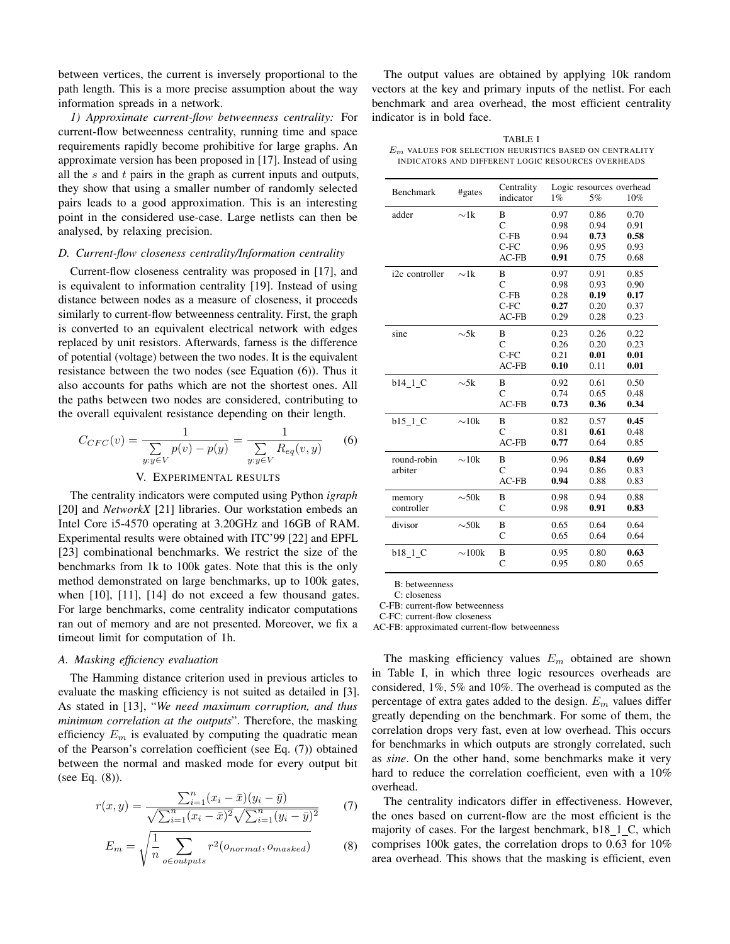between vertices, the current is inversely proportional to the path length. This is a more precise assumption about the way information spreads in a network.

*1) Approximate current-flow betweenness centrality:* For current-flow betweenness centrality, running time and space requirements rapidly become prohibitive for large graphs. An approximate version has been proposed in [\[17\]](#page-5-17). Instead of using all the  $s$  and  $t$  pairs in the graph as current inputs and outputs, they show that using a smaller number of randomly selected pairs leads to a good approximation. This is an interesting point in the considered use-case. Large netlists can then be analysed, by relaxing precision.

## *D. Current-flow closeness centrality/Information centrality*

Current-flow closeness centrality was proposed in [\[17\]](#page-5-17), and is equivalent to information centrality [\[19\]](#page-5-19). Instead of using distance between nodes as a measure of closeness, it proceeds similarly to current-flow betweenness centrality. First, the graph is converted to an equivalent electrical network with edges replaced by unit resistors. Afterwards, farness is the difference of potential (voltage) between the two nodes. It is the equivalent resistance between the two nodes (see Equation [\(6\)](#page-3-1)). Thus it also accounts for paths which are not the shortest ones. All the paths between two nodes are considered, contributing to the overall equivalent resistance depending on their length.

<span id="page-3-1"></span>
$$
C_{CFC}(v) = \frac{1}{\sum_{y:y \in V} p(v) - p(y)} = \frac{1}{\sum_{y:y \in V} R_{eq}(v, y)}
$$
(6)  
V. EXPERIMENTAL RESULTS

<span id="page-3-0"></span>The centrality indicators were computed using Python *igraph* [\[20\]](#page-5-20) and *NetworkX* [\[21\]](#page-5-21) libraries. Our workstation embeds an Intel Core i5-4570 operating at 3.20GHz and 16GB of RAM. Experimental results were obtained with ITC'99 [\[22\]](#page-5-22) and EPFL [\[23\]](#page-5-23) combinational benchmarks. We restrict the size of the benchmarks from 1k to 100k gates. Note that this is the only

method demonstrated on large benchmarks, up to 100k gates, when [\[10\]](#page-5-9), [\[11\]](#page-5-10), [\[14\]](#page-5-13) do not exceed a few thousand gates. For large benchmarks, come centrality indicator computations ran out of memory and are not presented. Moreover, we fix a timeout limit for computation of 1h.

# *A. Masking efficiency evaluation*

The Hamming distance criterion used in previous articles to evaluate the masking efficiency is not suited as detailed in [\[3\]](#page-5-2). As stated in [\[13\]](#page-5-12), "*We need maximum corruption, and thus minimum correlation at the outputs*". Therefore, the masking efficiency  $E_m$  is evaluated by computing the quadratic mean of the Pearson's correlation coefficient (see Eq. [\(7\)](#page-3-2)) obtained between the normal and masked mode for every output bit (see Eq. [\(8\)](#page-3-3)).

<span id="page-3-2"></span>
$$
r(x,y) = \frac{\sum_{i=1}^{n} (x_i - \bar{x})(y_i - \bar{y})}{\sqrt{\sum_{i=1}^{n} (x_i - \bar{x})^2} \sqrt{\sum_{i=1}^{n} (y_i - \bar{y})^2}} \tag{7}
$$

<span id="page-3-3"></span>
$$
E_m = \sqrt{\frac{1}{n} \sum_{o \in outputs} r^2(o_{normal}, o_{masked})}
$$
 (8)

The output values are obtained by applying 10k random vectors at the key and primary inputs of the netlist. For each benchmark and area overhead, the most efficient centrality indicator is in bold face.

<span id="page-3-4"></span>TABLE I  $E_m$  values for selection heuristics based on centrality INDICATORS AND DIFFERENT LOGIC RESOURCES OVERHEADS

|                |             | Centrality<br>Logic resources overhead |      |      |      |
|----------------|-------------|----------------------------------------|------|------|------|
| Benchmark      | #gates      | indicator                              | 1%   | 5%   | 10%  |
| adder          | $\sim$ 1k   | B                                      | 0.97 | 0.86 | 0.70 |
|                |             | C                                      | 0.98 | 0.94 | 0.91 |
|                |             | $C-FB$                                 | 0.94 | 0.73 | 0.58 |
|                |             | $C-FC$                                 | 0.96 | 0.95 | 0.93 |
|                |             | $AC-FB$                                | 0.91 | 0.75 | 0.68 |
| i2c controller | $\sim$ 1k   | B                                      | 0.97 | 0.91 | 0.85 |
|                |             | $\overline{C}$                         | 0.98 | 0.93 | 0.90 |
|                |             | $C-FB$                                 | 0.28 | 0.19 | 0.17 |
|                |             | $C-FC$                                 | 0.27 | 0.20 | 0.37 |
|                |             | $AC-FB$                                | 0.29 | 0.28 | 0.23 |
| sine           | $\sim 5k$   | B                                      | 0.23 | 0.26 | 0.22 |
|                |             | C                                      | 0.26 | 0.20 | 0.23 |
|                |             | $C-FC$                                 | 0.21 | 0.01 | 0.01 |
|                |             | $AC-FB$                                | 0.10 | 0.11 | 0.01 |
| b14 1 C        | $\sim 5k$   | B                                      | 0.92 | 0.61 | 0.50 |
|                |             | $\mathsf{C}$                           | 0.74 | 0.65 | 0.48 |
|                |             | $AC-FB$                                | 0.73 | 0.36 | 0.34 |
| b15 1 C        | $\sim 10k$  | B                                      | 0.82 | 0.57 | 0.45 |
|                |             | $\overline{C}$                         | 0.81 | 0.61 | 0.48 |
|                |             | $AC-FB$                                | 0.77 | 0.64 | 0.85 |
| round-robin    | $\sim 10k$  | B                                      | 0.96 | 0.84 | 0.69 |
| arbiter        |             | C                                      | 0.94 | 0.86 | 0.83 |
|                |             | $AC-FB$                                | 0.94 | 0.88 | 0.83 |
| memory         | $\sim 50k$  | B                                      | 0.98 | 0.94 | 0.88 |
| controller     |             | C                                      | 0.98 | 0.91 | 0.83 |
| divisor        | $\sim 50k$  | B                                      | 0.65 | 0.64 | 0.64 |
|                |             | C                                      | 0.65 | 0.64 | 0.64 |
| $b18_1C$       | $\sim$ 100k | B                                      | 0.95 | 0.80 | 0.63 |
|                |             | $\overline{C}$                         | 0.95 | 0.80 | 0.65 |

B: betweenness

C: closeness

C-FB: current-flow betweenness

C-FC: current-flow closeness

AC-FB: approximated current-flow betweenness

The masking efficiency values  $E_m$  obtained are shown in Table [I,](#page-3-4) in which three logic resources overheads are considered, 1%, 5% and 10%. The overhead is computed as the percentage of extra gates added to the design.  $E_m$  values differ greatly depending on the benchmark. For some of them, the correlation drops very fast, even at low overhead. This occurs for benchmarks in which outputs are strongly correlated, such as *sine*. On the other hand, some benchmarks make it very hard to reduce the correlation coefficient, even with a 10% overhead.

The centrality indicators differ in effectiveness. However, the ones based on current-flow are the most efficient is the majority of cases. For the largest benchmark, b18 1 C, which comprises 100k gates, the correlation drops to 0.63 for 10% area overhead. This shows that the masking is efficient, even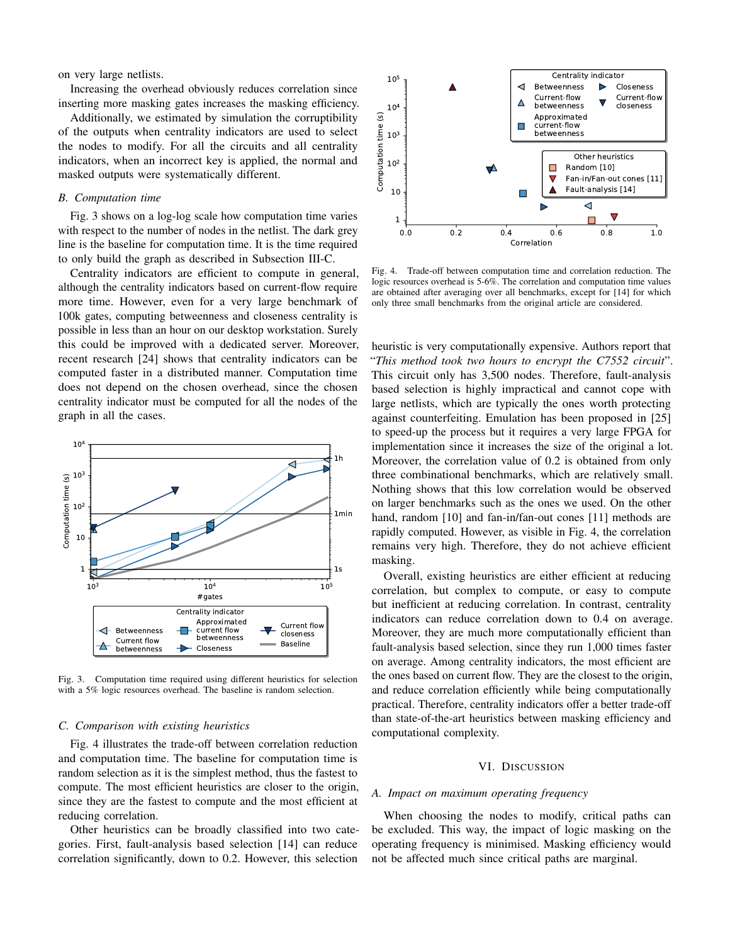on very large netlists.

Increasing the overhead obviously reduces correlation since inserting more masking gates increases the masking efficiency.

Additionally, we estimated by simulation the corruptibility of the outputs when centrality indicators are used to select the nodes to modify. For all the circuits and all centrality indicators, when an incorrect key is applied, the normal and masked outputs were systematically different.

# *B. Computation time*

Fig. [3](#page-4-1) shows on a log-log scale how computation time varies with respect to the number of nodes in the netlist. The dark grey line is the baseline for computation time. It is the time required to only build the graph as described in Subsection [III-C.](#page-2-6)

Centrality indicators are efficient to compute in general, although the centrality indicators based on current-flow require more time. However, even for a very large benchmark of 100k gates, computing betweenness and closeness centrality is possible in less than an hour on our desktop workstation. Surely this could be improved with a dedicated server. Moreover, recent research [\[24\]](#page-5-24) shows that centrality indicators can be computed faster in a distributed manner. Computation time does not depend on the chosen overhead, since the chosen centrality indicator must be computed for all the nodes of the graph in all the cases.



<span id="page-4-1"></span>Fig. 3. Computation time required using different heuristics for selection with a 5% logic resources overhead. The baseline is random selection.

# *C. Comparison with existing heuristics*

Fig. [4](#page-4-2) illustrates the trade-off between correlation reduction and computation time. The baseline for computation time is random selection as it is the simplest method, thus the fastest to compute. The most efficient heuristics are closer to the origin, since they are the fastest to compute and the most efficient at reducing correlation.

Other heuristics can be broadly classified into two categories. First, fault-analysis based selection [\[14\]](#page-5-13) can reduce correlation significantly, down to 0.2. However, this selection



<span id="page-4-2"></span>Fig. 4. Trade-off between computation time and correlation reduction. The logic resources overhead is 5-6%. The correlation and computation time values are obtained after averaging over all benchmarks, except for [\[14\]](#page-5-13) for which only three small benchmarks from the original article are considered.

heuristic is very computationally expensive. Authors report that "*This method took two hours to encrypt the C7552 circuit*". This circuit only has 3,500 nodes. Therefore, fault-analysis based selection is highly impractical and cannot cope with large netlists, which are typically the ones worth protecting against counterfeiting. Emulation has been proposed in [\[25\]](#page-5-25) to speed-up the process but it requires a very large FPGA for implementation since it increases the size of the original a lot. Moreover, the correlation value of 0.2 is obtained from only three combinational benchmarks, which are relatively small. Nothing shows that this low correlation would be observed on larger benchmarks such as the ones we used. On the other hand, random [\[10\]](#page-5-9) and fan-in/fan-out cones [\[11\]](#page-5-10) methods are rapidly computed. However, as visible in Fig. [4,](#page-4-2) the correlation remains very high. Therefore, they do not achieve efficient masking.

Overall, existing heuristics are either efficient at reducing correlation, but complex to compute, or easy to compute but inefficient at reducing correlation. In contrast, centrality indicators can reduce correlation down to 0.4 on average. Moreover, they are much more computationally efficient than fault-analysis based selection, since they run 1,000 times faster on average. Among centrality indicators, the most efficient are the ones based on current flow. They are the closest to the origin, and reduce correlation efficiently while being computationally practical. Therefore, centrality indicators offer a better trade-off than state-of-the-art heuristics between masking efficiency and computational complexity.

## VI. DISCUSSION

# <span id="page-4-0"></span>*A. Impact on maximum operating frequency*

When choosing the nodes to modify, critical paths can be excluded. This way, the impact of logic masking on the operating frequency is minimised. Masking efficiency would not be affected much since critical paths are marginal.